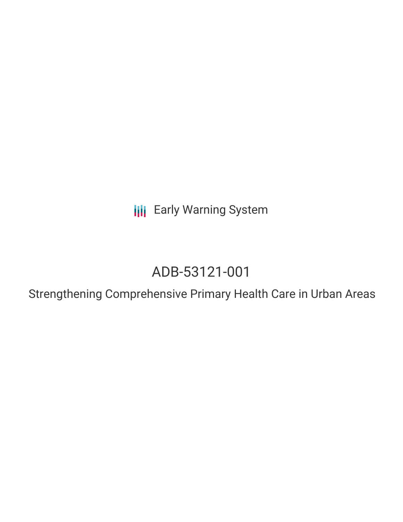**III** Early Warning System

# ADB-53121-001

Strengthening Comprehensive Primary Health Care in Urban Areas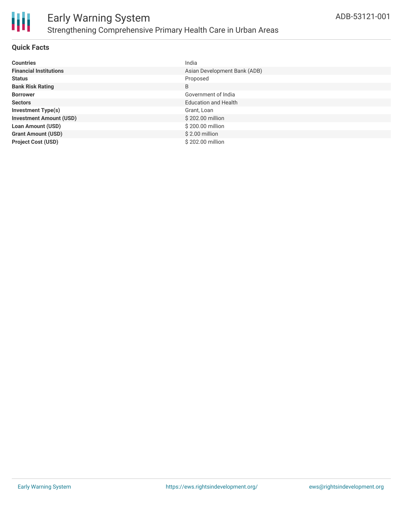

#### **Quick Facts**

| <b>Countries</b>               | India                        |
|--------------------------------|------------------------------|
| <b>Financial Institutions</b>  | Asian Development Bank (ADB) |
| <b>Status</b>                  | Proposed                     |
| <b>Bank Risk Rating</b>        | B                            |
| <b>Borrower</b>                | Government of India          |
| <b>Sectors</b>                 | <b>Education and Health</b>  |
| <b>Investment Type(s)</b>      | Grant, Loan                  |
| <b>Investment Amount (USD)</b> | \$202.00 million             |
| <b>Loan Amount (USD)</b>       | \$200.00 million             |
| <b>Grant Amount (USD)</b>      | $$2.00$ million              |
| <b>Project Cost (USD)</b>      | \$202.00 million             |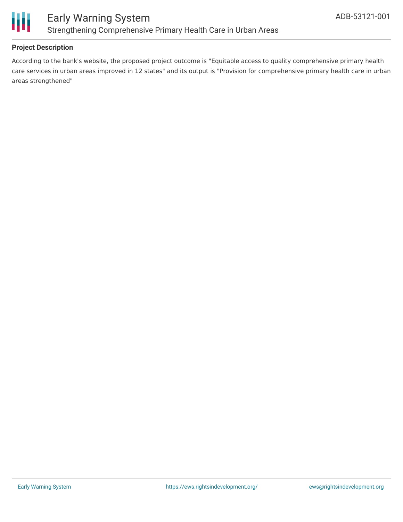

#### **Project Description**

According to the bank's website, the proposed project outcome is "Equitable access to quality comprehensive primary health care services in urban areas improved in 12 states" and its output is "Provision for comprehensive primary health care in urban areas strengthened"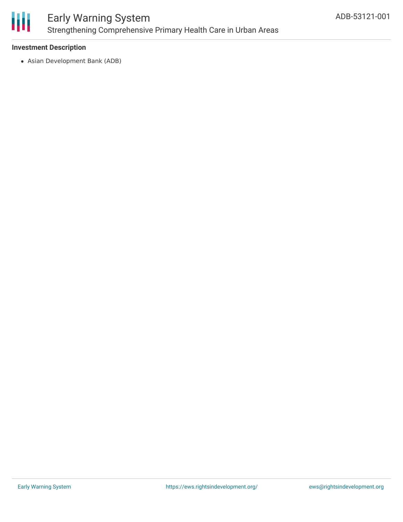

### Early Warning System Strengthening Comprehensive Primary Health Care in Urban Areas

#### **Investment Description**

Asian Development Bank (ADB)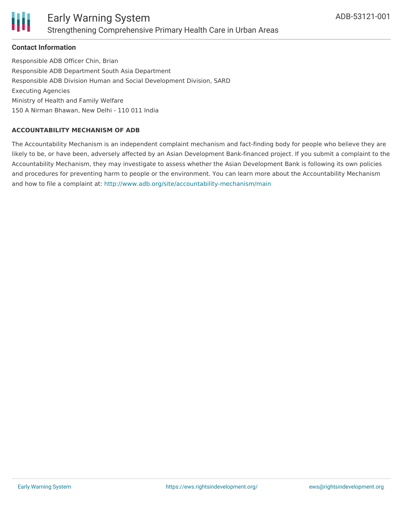

#### **Contact Information**

Responsible ADB Officer Chin, Brian Responsible ADB Department South Asia Department Responsible ADB Division Human and Social Development Division, SARD Executing Agencies Ministry of Health and Family Welfare 150 A Nirman Bhawan, New Delhi - 110 011 India

#### **ACCOUNTABILITY MECHANISM OF ADB**

The Accountability Mechanism is an independent complaint mechanism and fact-finding body for people who believe they are likely to be, or have been, adversely affected by an Asian Development Bank-financed project. If you submit a complaint to the Accountability Mechanism, they may investigate to assess whether the Asian Development Bank is following its own policies and procedures for preventing harm to people or the environment. You can learn more about the Accountability Mechanism and how to file a complaint at: <http://www.adb.org/site/accountability-mechanism/main>